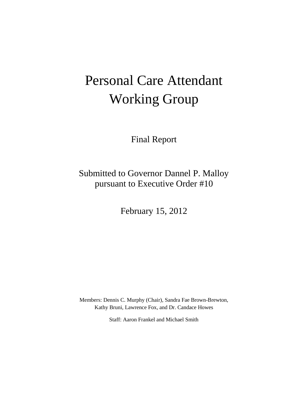# Personal Care Attendant Working Group

Final Report

Submitted to Governor Dannel P. Malloy pursuant to Executive Order #10

February 15, 2012

Members: Dennis C. Murphy (Chair), Sandra Fae Brown-Brewton, Kathy Bruni, Lawrence Fox, and Dr. Candace Howes

Staff: Aaron Frankel and Michael Smith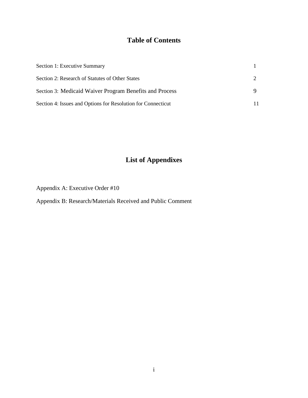## **Table of Contents**

| Section 1: Executive Summary                                 |  |
|--------------------------------------------------------------|--|
| Section 2: Research of Statutes of Other States              |  |
| Section 3: Medicaid Waiver Program Benefits and Process      |  |
| Section 4: Issues and Options for Resolution for Connecticut |  |

## **List of Appendixes**

Appendix A: Executive Order #10

Appendix B: Research/Materials Received and Public Comment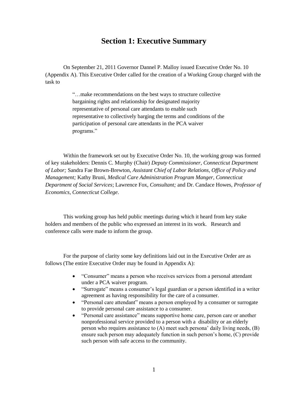### **Section 1: Executive Summary**

On September 21, 2011 Governor Dannel P. Malloy issued Executive Order No. 10 (Appendix A). This Executive Order called for the creation of a Working Group charged with the task to

> "…make recommendations on the best ways to structure collective bargaining rights and relationship for designated majority representative of personal care attendants to enable such representative to collectively barging the terms and conditions of the participation of personal care attendants in the PCA waiver programs."

Within the framework set out by Executive Order No. 10, the working group was formed of key stakeholders: Dennis C. Murphy (Chair) *Deputy Commissioner, Connecticut Department of Labor;* Sandra Fae Brown-Brewton, *Assistant Chief of Labor Relations, Office of Policy and Management;* Kathy Bruni, *Medical Care Administration Program Manger, Connecticut Department of Social Services*; Lawrence Fox, *Consultant;* and Dr. Candace Howes, *Professor of Economics, Connecticut College*.

This working group has held public meetings during which it heard from key stake holders and members of the public who expressed an interest in its work. Research and conference calls were made to inform the group.

For the purpose of clarity some key definitions laid out in the Executive Order are as follows (The entire Executive Order may be found in Appendix A):

- "Consumer" means a person who receives services from a personal attendant under a PCA waiver program.
- "Surrogate" means a consumer"s legal guardian or a person identified in a writer agreement as having responsibility for the care of a consumer.
- "Personal care attendant" means a person employed by a consumer or surrogate to provide personal care assistance to a consumer.
- "Personal care assistance" means supportive home care, person care or another nonprofessional service provided to a person with a disability or an elderly person who requires assistance to (A) meet such persona" daily living needs, (B) ensure such person may adequately function in such person"s home, (C) provide such person with safe access to the community.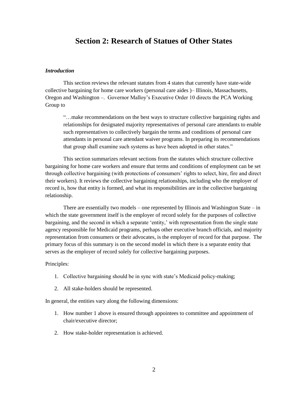## **Section 2: Research of Statues of Other States**

#### *Introduction*

This section reviews the relevant statutes from 4 states that currently have state-wide collective bargaining for home care workers (personal care aides )– Illinois, Massachusetts, Oregon and Washington –. Governor Malloy"s Executive Order 10 directs the PCA Working Group to

"…make recommendations on the best ways to structure collective bargaining rights and relationships for designated majority representatives of personal care attendants to enable such representatives to collectively bargain the terms and conditions of personal care attendants in personal care attendant waiver programs. In preparing its recommendations that group shall examine such systems as have been adopted in other states."

This section summarizes relevant sections from the statutes which structure collective bargaining for home care workers and ensure that terms and conditions of employment can be set through collective bargaining (with protections of consumers" rights to select, hire, fire and direct their workers). It reviews the collective bargaining relationships, including who the employer of record is, how that entity is formed, and what its responsibilities are in the collective bargaining relationship.

There are essentially two models – one represented by Illinois and Washington State – in which the state government itself is the employer of record solely for the purposes of collective bargaining, and the second in which a separate "entity," with representation from the single state agency responsible for Medicaid programs, perhaps other executive branch officials, and majority representation from consumers or their advocates, is the employer of record for that purpose. The primary focus of this summary is on the second model in which there is a separate entity that serves as the employer of record solely for collective bargaining purposes.

#### Principles:

- 1. Collective bargaining should be in sync with state"s Medicaid policy-making;
- 2. All stake-holders should be represented.

In general, the entities vary along the following dimensions:

- 1. How number 1 above is ensured through appointees to committee and appointment of chair/executive director;
- 2. How stake-holder representation is achieved.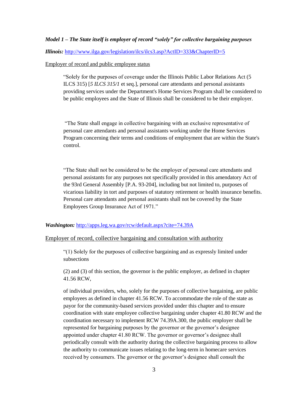#### *Model 1 – The State itself is employer of record "solely" for collective bargaining purposes*

*Illinois:* <http://www.ilga.gov/legislation/ilcs/ilcs3.asp?ActID=333&ChapterID=5>

#### Employer of record and public employee status

"Solely for the purposes of coverage under the Illinois Public Labor Relations Act (5 ILCS 315) [*5 ILCS 315/1* et seq.], personal care attendants and personal assistants providing services under the Department's Home Services Program shall be considered to be public employees and the State of Illinois shall be considered to be their employer.

"The State shall engage in collective bargaining with an exclusive representative of personal care attendants and personal assistants working under the Home Services Program concerning their terms and conditions of employment that are within the State's control.

"The State shall not be considered to be the employer of personal care attendants and personal assistants for any purposes not specifically provided in this amendatory Act of the 93rd General Assembly [P.A. 93-204], including but not limited to, purposes of vicarious liability in tort and purposes of statutory retirement or health insurance benefits. Personal care attendants and personal assistants shall not be covered by the State Employees Group Insurance Act of 1971."

#### *Washington: <http://apps.leg.wa.gov/rcw/default.aspx?cite=74.39A>*

#### Employer of record, collective bargaining and consultation with authority

"(1) Solely for the purposes of collective bargaining and as expressly limited under subsections

(2) and (3) of this section, the governor is the public employer, as defined in chapter 41.56 RCW,

of individual providers, who, solely for the purposes of collective bargaining, are public employees as defined in chapter 41.56 RCW. To accommodate the role of the state as payor for the community-based services provided under this chapter and to ensure coordination with state employee collective bargaining under chapter 41.80 RCW and the coordination necessary to implement RCW 74.39A.300, the public employer shall be represented for bargaining purposes by the governor or the governor"s designee appointed under chapter 41.80 RCW. The governor or governor's designee shall periodically consult with the authority during the collective bargaining process to allow the authority to communicate issues relating to the long-term in homecare services received by consumers. The governor or the governor's designee shall consult the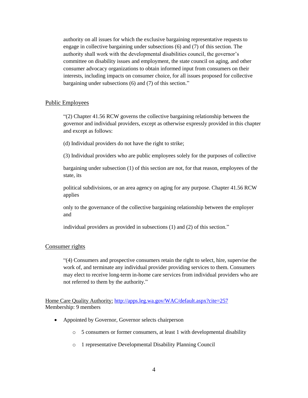authority on all issues for which the exclusive bargaining representative requests to engage in collective bargaining under subsections (6) and (7) of this section. The authority shall work with the developmental disabilities council, the governor"s committee on disability issues and employment, the state council on aging, and other consumer advocacy organizations to obtain informed input from consumers on their interests, including impacts on consumer choice, for all issues proposed for collective bargaining under subsections (6) and (7) of this section."

#### Public Employees

"(2) Chapter 41.56 RCW governs the collective bargaining relationship between the governor and individual providers, except as otherwise expressly provided in this chapter and except as follows:

(d) Individual providers do not have the right to strike;

(3) Individual providers who are public employees solely for the purposes of collective

bargaining under subsection (1) of this section are not, for that reason, employees of the state, its

political subdivisions, or an area agency on aging for any purpose. Chapter 41.56 RCW applies

only to the governance of the collective bargaining relationship between the employer and

individual providers as provided in subsections (1) and (2) of this section."

#### Consumer rights

"(4) Consumers and prospective consumers retain the right to select, hire, supervise the work of, and terminate any individual provider providing services to them. Consumers may elect to receive long-term in-home care services from individual providers who are not referred to them by the authority."

Home Care Quality Authority: <http://apps.leg.wa.gov/WAC/default.aspx?cite=257> Membership: 9 members

- Appointed by Governor, Governor selects chairperson
	- o 5 consumers or former consumers, at least 1 with developmental disability
	- o 1 representative Developmental Disability Planning Council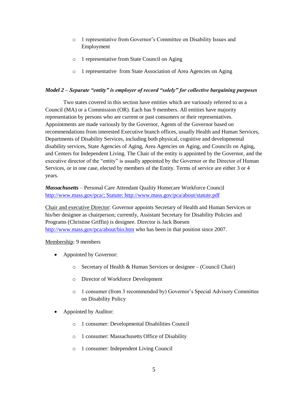- o 1 representative from Governor"s Committee on Disability Issues and Employment
- o 1 representative from State Council on Aging
- o 1 representative from State Association of Area Agencies on Aging

#### *Model 2 – Separate "entity" is employer of record "solely" for collective bargaining purposes*

Two states covered in this section have entities which are variously referred to as a Council (MA) or a Commission (OR). Each has 9 members. All entities have majority representation by persons who are current or past consumers or their representatives. Appointments are made variously by the Governor, Agents of the Governor based on recommendations from interested Executive branch offices, usually Health and Human Services, Departments of Disability Services, including both physical, cognitive and developmental disability services, State Agencies of Aging, Area Agencies on Aging, and Councils on Aging, and Centers for Independent Living. The Chair of the entity is appointed by the Governor, and the executive director of the "entity" is usually appointed by the Governor or the Director of Human Services, or in one case, elected by members of the Entity. Terms of service are either 3 or 4 years.

#### *Massachusetts –* Personal Care Attendant Quality Homecare Workforce Council [http://www.mass.gov/pca/;](http://www.mass.gov/pca/) Statute:<http://www.mass.gov/pca/about/statute.pdf>

Chair and executive Director: Governor appoints Secretary of Health and Human Services or his/her designee as chairperson; currently, Assistant Secretary for Disability Policies and Programs (Christine Griffin) is designee. Director is Jack Boesen <http://www.mass.gov/pca/about/bio.htm> who has been in that position since 2007.

#### Membership: 9 members

- Appointed by Governor:
	- o Secretary of Health & Human Services or designee (Council Chair)
	- o Director of Workforce Development
	- o 1 consumer (from 3 recommended by) Governor"s Special Advisory Committee on Disability Policy
- Appointed by Auditor:
	- o 1 consumer: Developmental Disabilities Council
	- o 1 consumer: Massachusetts Office of Disability
	- o 1 consumer: Independent Living Council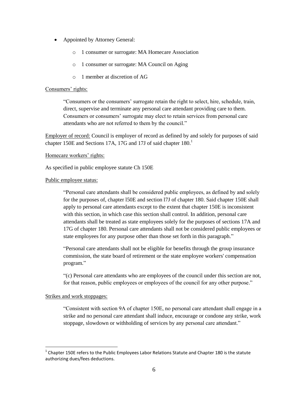- Appointed by Attorney General:
	- o 1 consumer or surrogate: MA Homecare Association
	- o 1 consumer or surrogate: MA Council on Aging
	- o 1 member at discretion of AG

#### Consumers' rights:

"Consumers or the consumers" surrogate retain the right to select, hire, schedule, train, direct, supervise and terminate any personal care attendant providing care to them. Consumers or consumers" surrogate may elect to retain services from personal care attendants who are not referred to them by the council."

Employer of record: Council is employer of record as defined by and solely for purposes of said chapter 150E and Sections 17A, 17G and 17J of said chapter  $180<sup>1</sup>$ 

#### Homecare workers' rights:

As specified in public employee statute Ch 150E

#### Public employee status:

"Personal care attendants shall be considered public employees, as defined by and solely for the purposes of, chapter l50E and section l7J of chapter 180. Said chapter 150E shall apply to personal care attendants except to the extent that chapter 150E is inconsistent with this section, in which case this section shall control. In addition, personal care attendants shall be treated as state employees solely for the purposes of sections 17A and 17G of chapter 180. Personal care attendants shall not be considered public employees or state employees for any purpose other than those set forth in this paragraph."

"Personal care attendants shall not be eligible for benefits through the group insurance commission, the state board of retirement or the state employee workers' compensation program."

"(c) Personal care attendants who are employees of the council under this section are not, for that reason, public employees or employees of the council for any other purpose."

#### Strikes and work stoppages:

l

"Consistent with section 9A of chapter 150E, no personal care attendant shall engage in a strike and no personal care attendant shall induce, encourage or condone any strike, work stoppage, slowdown or withholding of services by any personal care attendant."

 $^{1}$  Chapter 150E refers to the Public Employees Labor Relations Statute and Chapter 180 is the statute authorizing dues/fees deductions.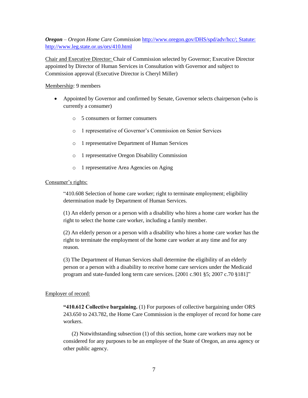#### *Oregon – Oregon Home Care Commission* [http://www.oregon.gov/DHS/spd/adv/hcc/;](http://www.oregon.gov/DHS/spd/adv/hcc/) Statute: <http://www.leg.state.or.us/ors/410.html>

Chair and Executive Director: Chair of Commission selected by Governor; Executive Director appointed by Director of Human Services in Consultation with Governor and subject to Commission approval (Executive Director is Cheryl Miller)

#### Membership: 9 members

- Appointed by Governor and confirmed by Senate, Governor selects chairperson (who is currently a consumer)
	- o 5 consumers or former consumers
	- o 1 representative of Governor"s Commission on Senior Services
	- o 1 representative Department of Human Services
	- o 1 representative Oregon Disability Commission
	- o 1 representative Area Agencies on Aging

#### Consumer's rights:

"410.608 Selection of home care worker; right to terminate employment; eligibility determination made by Department of Human Services.

(1) An elderly person or a person with a disability who hires a home care worker has the right to select the home care worker, including a family member.

(2) An elderly person or a person with a disability who hires a home care worker has the right to terminate the employment of the home care worker at any time and for any reason.

(3) The Department of Human Services shall determine the eligibility of an elderly person or a person with a disability to receive home care services under the Medicaid program and state-funded long term care services. [2001 c.901 §5; 2007 c.70 §181]"

#### Employer of record:

**"410.612 Collective bargaining.** (1) For purposes of collective bargaining under ORS 243.650 to 243.782, the Home Care Commission is the employer of record for home care workers.

 (2) Notwithstanding subsection (1) of this section, home care workers may not be considered for any purposes to be an employee of the State of Oregon, an area agency or other public agency.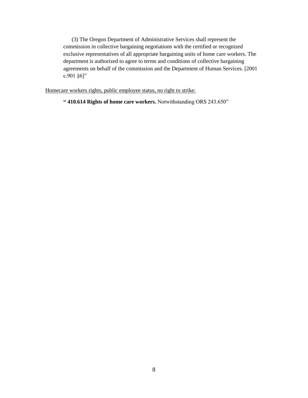(3) The Oregon Department of Administrative Services shall represent the commission in collective bargaining negotiations with the certified or recognized exclusive representatives of all appropriate bargaining units of home care workers. The department is authorized to agree to terms and conditions of collective bargaining agreements on behalf of the commission and the Department of Human Services. [2001 c.901 §6]"

Homecare workers rights, public employee status, no right to strike:

**" 410.614 Rights of home care workers.** Notwithstanding ORS 243.650"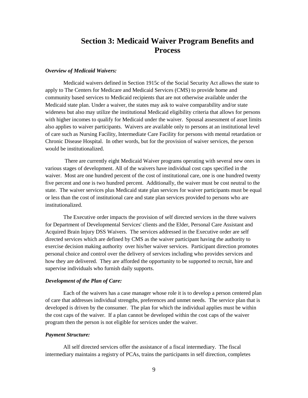## **Section 3: Medicaid Waiver Program Benefits and Process**

#### *Overview of Medicaid Waivers:*

Medicaid waivers defined in Section 1915c of the Social Security Act allows the state to apply to The Centers for Medicare and Medicaid Services (CMS) to provide home and community based services to Medicaid recipients that are not otherwise available under the Medicaid state plan. Under a waiver, the states may ask to waive comparability and/or state wideness but also may utilize the institutional Medicaid eligibility criteria that allows for persons with higher incomes to qualify for Medicaid under the waiver. Spousal assessment of asset limits also applies to waiver participants. Waivers are available only to persons at an institutional level of care such as Nursing Facility, Intermediate Care Facility for persons with mental retardation or Chronic Disease Hospital. In other words, but for the provision of waiver services, the person would be institutionalized.

There are currently eight Medicaid Waiver programs operating with several new ones in various stages of development. All of the waivers have individual cost caps specified in the waiver. Most are one hundred percent of the cost of institutional care, one is one hundred twenty five percent and one is two hundred percent. Additionally, the waiver must be cost neutral to the state. The waiver services plus Medicaid state plan services for waiver participants must be equal or less than the cost of institutional care and state plan services provided to persons who are institutionalized.

The Executive order impacts the provision of self directed services in the three waivers for Department of Developmental Services' clients and the Elder, Personal Care Assistant and Acquired Brain Injury DSS Waivers. The services addressed in the Executive order are self directed services which are defined by CMS as the waiver participant having the authority to exercise decision making authority over his/her waiver services. Participant direction promotes personal choice and control over the delivery of services including who provides services and how they are delivered. They are afforded the opportunity to be supported to recruit, hire and supervise individuals who furnish daily supports.

#### *Development of the Plan of Care:*

Each of the waivers has a case manager whose role it is to develop a person centered plan of care that addresses individual strengths, preferences and unmet needs. The service plan that is developed is driven by the consumer. The plan for which the individual applies must be within the cost caps of the waiver. If a plan cannot be developed within the cost caps of the waiver program then the person is not eligible for services under the waiver.

#### *Payment Structure:*

All self directed services offer the assistance of a fiscal intermediary. The fiscal intermediary maintains a registry of PCAs, trains the participants in self direction, completes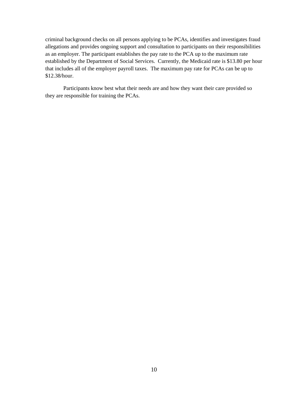criminal background checks on all persons applying to be PCAs, identifies and investigates fraud allegations and provides ongoing support and consultation to participants on their responsibilities as an employer. The participant establishes the pay rate to the PCA up to the maximum rate established by the Department of Social Services. Currently, the Medicaid rate is \$13.80 per hour that includes all of the employer payroll taxes. The maximum pay rate for PCAs can be up to \$12.38/hour.

Participants know best what their needs are and how they want their care provided so they are responsible for training the PCAs.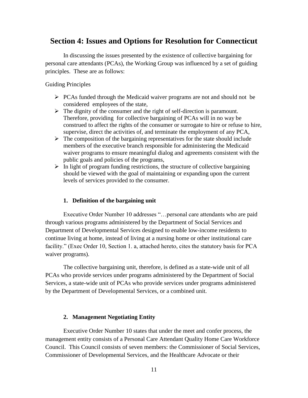## **Section 4: Issues and Options for Resolution for Connecticut**

In discussing the issues presented by the existence of collective bargaining for personal care attendants (PCAs), the Working Group was influenced by a set of guiding principles. These are as follows:

#### Guiding Principles

- $\triangleright$  PCAs funded through the Medicaid waiver programs are not and should not be considered employees of the state,
- $\triangleright$  The dignity of the consumer and the right of self-direction is paramount. Therefore, providing for collective bargaining of PCAs will in no way be construed to affect the rights of the consumer or surrogate to hire or refuse to hire, supervise, direct the activities of, and terminate the employment of any PCA,
- $\triangleright$  The composition of the bargaining representatives for the state should include members of the executive branch responsible for administering the Medicaid waiver programs to ensure meaningful dialog and agreements consistent with the public goals and policies of the programs,
- $\triangleright$  In light of program funding restrictions, the structure of collective bargaining should be viewed with the goal of maintaining or expanding upon the current levels of services provided to the consumer.

#### **1. Definition of the bargaining unit**

Executive Order Number 10 addresses "…personal care attendants who are paid through various programs administered by the Department of Social Services and Department of Developmental Services designed to enable low-income residents to continue living at home, instead of living at a nursing home or other institutional care facility." (Exec Order 10, Section 1. a, attached hereto, cites the statutory basis for PCA waiver programs).

The collective bargaining unit, therefore, is defined as a state-wide unit of all PCAs who provide services under programs administered by the Department of Social Services, a state-wide unit of PCAs who provide services under programs administered by the Department of Developmental Services, or a combined unit.

#### **2. Management Negotiating Entity**

Executive Order Number 10 states that under the meet and confer process, the management entity consists of a Personal Care Attendant Quality Home Care Workforce Council. This Council consists of seven members: the Commissioner of Social Services, Commissioner of Developmental Services, and the Healthcare Advocate or their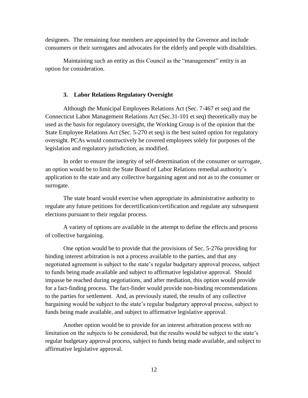designees. The remaining four members are appointed by the Governor and include consumers or their surrogates and advocates for the elderly and people with disabilities.

Maintaining such an entity as this Council as the "management" entity is an option for consideration.

#### **3. Labor Relations Regulatory Oversight**

Although the Municipal Employees Relations Act (Sec. 7-467 et seq) and the Connecticut Labor Management Relations Act (Sec.31-101 et seq) theoretically may be used as the basis for regulatory oversight, the Working Group is of the opinion that the State Employee Relations Act (Sec. 5-270 et seq) is the best suited option for regulatory oversight. PCAs would constructively be covered employees solely for purposes of the legislation and regulatory jurisdiction, as modified.

In order to ensure the integrity of self-determination of the consumer or surrogate, an option would be to limit the State Board of Labor Relations remedial authority"s application to the state and any collective bargaining agent and not as to the consumer or surrogate.

The state board would exercise when appropriate its administrative authority to regulate any future petitions for decertification/certification and regulate any subsequent elections pursuant to their regular process.

A variety of options are available in the attempt to define the effects and process of collective bargaining.

One option would be to provide that the provisions of Sec. 5-276a providing for binding interest arbitration is not a process available to the parties, and that any negotiated agreement is subject to the state"s regular budgetary approval process, subject to funds being made available and subject to affirmative legislative approval. Should impasse be reached during negotiations, and after mediation, this option would provide for a fact-finding process. The fact-finder would provide non-binding recommendations to the parties for settlement. And, as previously stated, the results of any collective bargaining would be subject to the state's regular budgetary approval process, subject to funds being made available, and subject to affirmative legislative approval.

Another option would be to provide for an interest arbitration process with no limitation on the subjects to be considered, but the results would be subject to the state"s regular budgetary approval process, subject to funds being made available, and subject to affirmative legislative approval.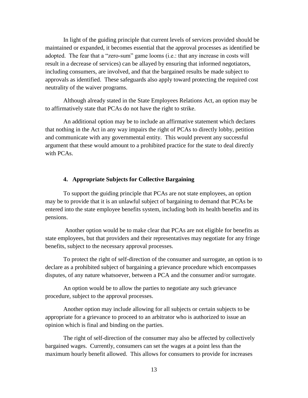In light of the guiding principle that current levels of services provided should be maintained or expanded, it becomes essential that the approval processes as identified be adopted. The fear that a "zero-sum" game looms (i.e.: that any increase in costs will result in a decrease of services) can be allayed by ensuring that informed negotiators, including consumers, are involved, and that the bargained results be made subject to approvals as identified. These safeguards also apply toward protecting the required cost neutrality of the waiver programs.

Although already stated in the State Employees Relations Act, an option may be to affirmatively state that PCAs do not have the right to strike.

An additional option may be to include an affirmative statement which declares that nothing in the Act in any way impairs the right of PCAs to directly lobby, petition and communicate with any governmental entity. This would prevent any successful argument that these would amount to a prohibited practice for the state to deal directly with PCAs.

#### **4. Appropriate Subjects for Collective Bargaining**

To support the guiding principle that PCAs are not state employees, an option may be to provide that it is an unlawful subject of bargaining to demand that PCAs be entered into the state employee benefits system, including both its health benefits and its pensions.

Another option would be to make clear that PCAs are not eligible for benefits as state employees, but that providers and their representatives may negotiate for any fringe benefits, subject to the necessary approval processes.

To protect the right of self-direction of the consumer and surrogate, an option is to declare as a prohibited subject of bargaining a grievance procedure which encompasses disputes, of any nature whatsoever, between a PCA and the consumer and/or surrogate.

An option would be to allow the parties to negotiate any such grievance procedure, subject to the approval processes.

Another option may include allowing for all subjects or certain subjects to be appropriate for a grievance to proceed to an arbitrator who is authorized to issue an opinion which is final and binding on the parties.

The right of self-direction of the consumer may also be affected by collectively bargained wages. Currently, consumers can set the wages at a point less than the maximum hourly benefit allowed. This allows for consumers to provide for increases